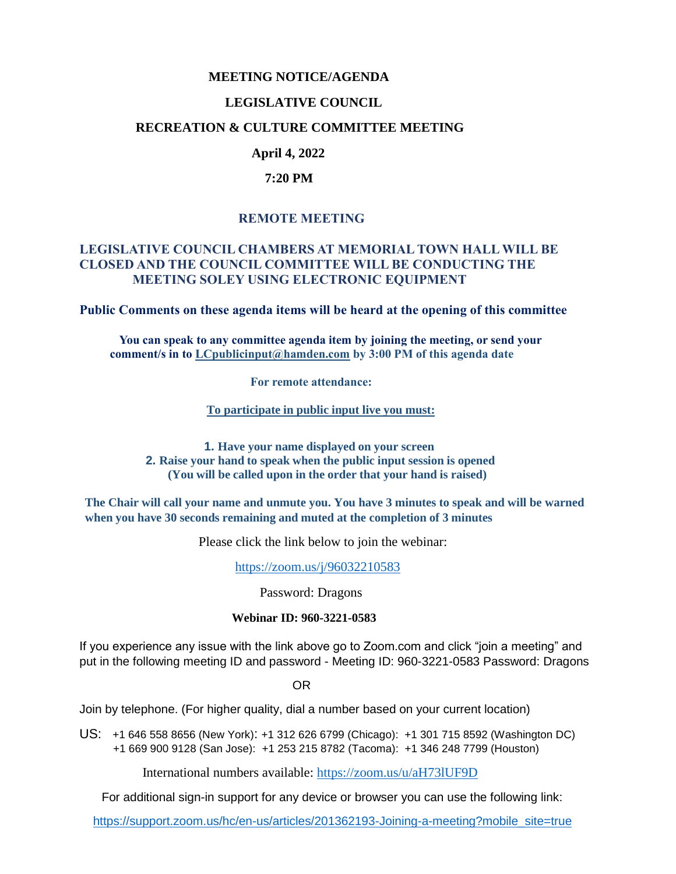# **MEETING NOTICE/AGENDA**

#### **LEGISLATIVE COUNCIL**

#### **RECREATION & CULTURE COMMITTEE MEETING**

# **April 4, 2022**

#### **7:20 PM**

### **REMOTE MEETING**

#### **LEGISLATIVE COUNCIL CHAMBERS AT MEMORIAL TOWN HALL WILL BE CLOSED AND THE COUNCIL COMMITTEE WILL BE CONDUCTING THE MEETING SOLEY USING ELECTRONIC EQUIPMENT**

**Public Comments on these agenda items will be heard at the opening of this committee** 

 **You can speak to any committee agenda item by joining the meeting, or send your comment/s in to [LCpublicinput@hamden.com](mailto:LCpublicinput@hamden.com) by 3:00 PM of this agenda date**

 **For remote attendance:**

**To participate in public input live you must:**

**1. Have your name displayed on your screen 2. Raise your hand to speak when the public input session is opened (You will be called upon in the order that your hand is raised)**

**The Chair will call your name and unmute you. You have 3 minutes to speak and will be warned when you have 30 seconds remaining and muted at the completion of 3 minutes**

Please click the link below to join the webinar:

<https://zoom.us/j/96032210583>

Password: Dragons

#### **Webinar ID: 960-3221-0583**

If you experience any issue with the link above go to Zoom.com and click "join a meeting" and put in the following meeting ID and password - Meeting ID: 960-3221-0583 Password: Dragons

OR

Join by telephone. (For higher quality, dial a number based on your current location)

US: [+1 646 558 8656 \(New York\)](tel:+16465588656): [+1 312 626 6799 \(Chicago\):](tel:+13126266799) [+1 301 715 8592 \(Washington DC\)](tel:+13017158592) +1 669 900 9128 (San Jose): [+1 253 215 8782 \(Tacoma\):](tel:+12532158782) [+1 346 248 7799 \(Houston\)](tel:+13462487799)

International numbers available:<https://zoom.us/u/aH73lUF9D>

For additional sign-in support for any device or browser you can use the following link:

[https://support.zoom.us/hc/en-us/articles/201362193-Joining-a-meeting?mobile\\_site=true](https://support.zoom.us/hc/en-us/articles/201362193-Joining-a-meeting?mobile_site=true)